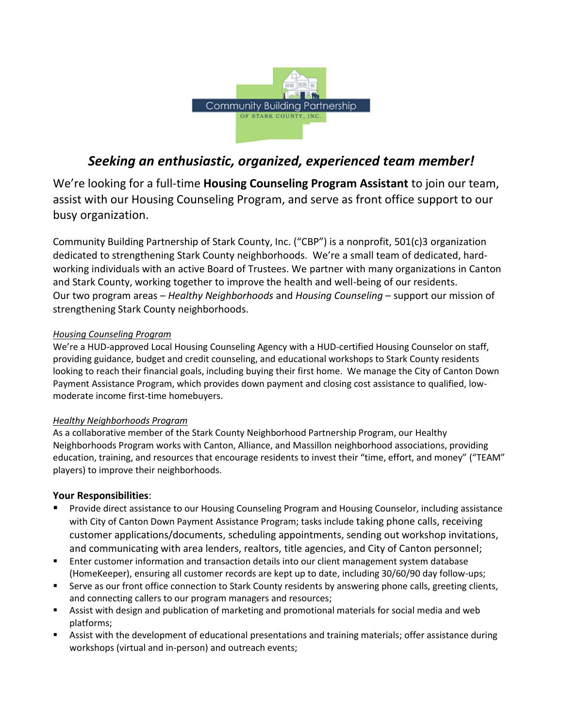

# *Seeking an enthusiastic, organized, experienced team member!*

We're looking for a full-time **Housing Counseling Program Assistant** to join our team, assist with our Housing Counseling Program, and serve as front office support to our busy organization.

Community Building Partnership of Stark County, Inc. ("CBP") is a nonprofit, 501(c)3 organization dedicated to strengthening Stark County neighborhoods. We're a small team of dedicated, hardworking individuals with an active Board of Trustees. We partner with many organizations in Canton and Stark County, working together to improve the health and well-being of our residents. Our two program areas – *Healthy Neighborhoods* and *Housing Counseling* – support our mission of strengthening Stark County neighborhoods.

## *Housing Counseling Program*

We're a HUD-approved Local Housing Counseling Agency with a HUD-certified Housing Counselor on staff, providing guidance, budget and credit counseling, and educational workshops to Stark County residents looking to reach their financial goals, including buying their first home. We manage the City of Canton Down Payment Assistance Program, which provides down payment and closing cost assistance to qualified, lowmoderate income first-time homebuyers.

## *Healthy Neighborhoods Program*

As a collaborative member of the Stark County Neighborhood Partnership Program, our Healthy Neighborhoods Program works with Canton, Alliance, and Massillon neighborhood associations, providing education, training, and resources that encourage residents to invest their "time, effort, and money" ("TEAM" players) to improve their neighborhoods.

## **Your Responsibilities**:

- Provide direct assistance to our Housing Counseling Program and Housing Counselor, including assistance with City of Canton Down Payment Assistance Program; tasks include taking phone calls, receiving customer applications/documents, scheduling appointments, sending out workshop invitations, and communicating with area lenders, realtors, title agencies, and City of Canton personnel;
- **Enter customer information and transaction details into our client management system database** (HomeKeeper), ensuring all customer records are kept up to date, including 30/60/90 day follow-ups;
- **Serve as our front office connection to Stark County residents by answering phone calls, greeting clients,** and connecting callers to our program managers and resources;
- Assist with design and publication of marketing and promotional materials for social media and web platforms;
- Assist with the development of educational presentations and training materials; offer assistance during workshops (virtual and in-person) and outreach events;